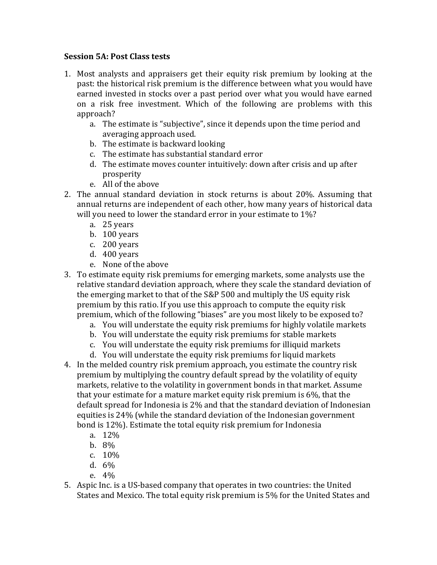## **Session 5A**: Post Class tests

- 1. Most analysts and appraisers get their equity risk premium by looking at the past: the historical risk premium is the difference between what you would have earned invested in stocks over a past period over what you would have earned on a risk free investment. Which of the following are problems with this approach?
	- a. The estimate is "subjective", since it depends upon the time period and averaging approach used.
	- b. The estimate is backward looking
	- c. The estimate has substantial standard error
	- d. The estimate moves counter intuitively: down after crisis and up after prosperity
	- e. All of the above
- 2. The annual standard deviation in stock returns is about 20%. Assuming that annual returns are independent of each other, how many years of historical data will you need to lower the standard error in your estimate to  $1\%$ ?
	- a. 25 years
	- b. 100 years
	- c. 200 years
	- d. 400 years
	- e. None of the above
- 3. To estimate equity risk premiums for emerging markets, some analysts use the relative standard deviation approach, where they scale the standard deviation of the emerging market to that of the S&P 500 and multiply the US equity risk premium by this ratio. If you use this approach to compute the equity risk premium, which of the following "biases" are you most likely to be exposed to?
	- a. You will understate the equity risk premiums for highly volatile markets
	- b. You will understate the equity risk premiums for stable markets
	- c. You will understate the equity risk premiums for illiquid markets
	- d. You will understate the equity risk premiums for liquid markets
- 4. In the melded country risk premium approach, you estimate the country risk premium by multiplying the country default spread by the volatility of equity markets, relative to the volatility in government bonds in that market. Assume that your estimate for a mature market equity risk premium is  $6\%$ , that the default spread for Indonesia is 2% and that the standard deviation of Indonesian equities is  $24\%$  (while the standard deviation of the Indonesian government bond is 12%). Estimate the total equity risk premium for Indonesia
	- a. 12%
	- b. 8%
	- c. 10%
	- d. 6%
	- e. 4%
- 5. Aspic Inc. is a US-based company that operates in two countries: the United States and Mexico. The total equity risk premium is 5% for the United States and